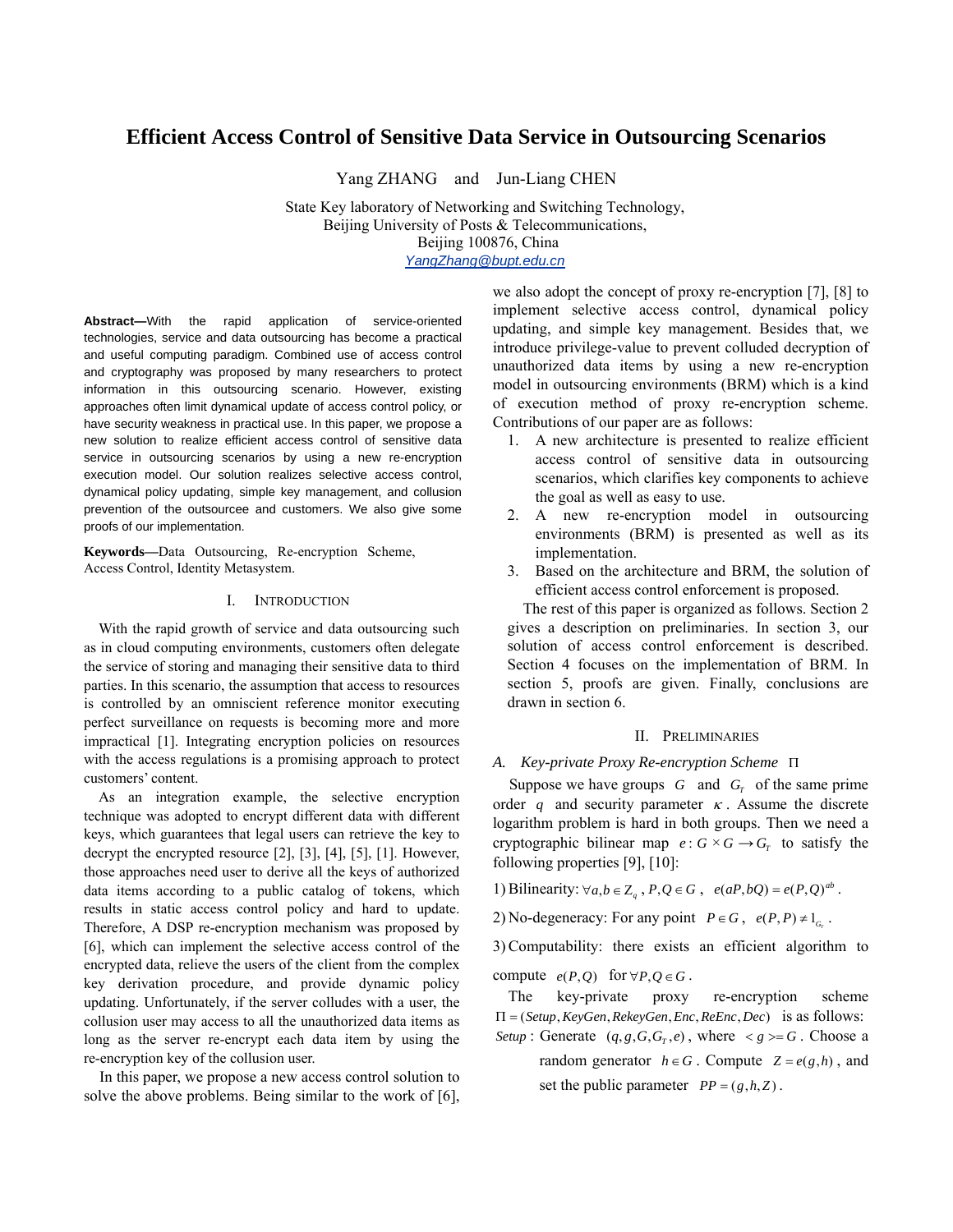# **Efficient Access Control of Sensitive Data Service in Outsourcing Scenarios**

Yang ZHANG and Jun-Liang CHEN

State Key laboratory of Networking and Switching Technology, Beijing University of Posts & Telecommunications, Beijing 100876, China *YangZhang@bupt.edu.cn*

**Abstract—**With the rapid application of service-oriented technologies, service and data outsourcing has become a practical and useful computing paradigm. Combined use of access control and cryptography was proposed by many researchers to protect information in this outsourcing scenario. However, existing approaches often limit dynamical update of access control policy, or have security weakness in practical use. In this paper, we propose a new solution to realize efficient access control of sensitive data service in outsourcing scenarios by using a new re-encryption execution model. Our solution realizes selective access control, dynamical policy updating, simple key management, and collusion prevention of the outsourcee and customers. We also give some proofs of our implementation.

**Keywords—**Data Outsourcing, Re-encryption Scheme, Access Control, Identity Metasystem.

### I. INTRODUCTION

With the rapid growth of service and data outsourcing such as in cloud computing environments, customers often delegate the service of storing and managing their sensitive data to third parties. In this scenario, the assumption that access to resources is controlled by an omniscient reference monitor executing perfect surveillance on requests is becoming more and more impractical [1]. Integrating encryption policies on resources with the access regulations is a promising approach to protect customers' content.

As an integration example, the selective encryption technique was adopted to encrypt different data with different keys, which guarantees that legal users can retrieve the key to decrypt the encrypted resource [2], [3], [4], [5], [1]. However, those approaches need user to derive all the keys of authorized data items according to a public catalog of tokens, which results in static access control policy and hard to update. Therefore, A DSP re-encryption mechanism was proposed by [6], which can implement the selective access control of the encrypted data, relieve the users of the client from the complex key derivation procedure, and provide dynamic policy updating. Unfortunately, if the server colludes with a user, the collusion user may access to all the unauthorized data items as long as the server re-encrypt each data item by using the re-encryption key of the collusion user.

In this paper, we propose a new access control solution to solve the above problems. Being similar to the work of [6],

we also adopt the concept of proxy re-encryption [7], [8] to implement selective access control, dynamical policy updating, and simple key management. Besides that, we introduce privilege-value to prevent colluded decryption of unauthorized data items by using a new re-encryption model in outsourcing environments (BRM) which is a kind of execution method of proxy re-encryption scheme. Contributions of our paper are as follows:

- 1. A new architecture is presented to realize efficient access control of sensitive data in outsourcing scenarios, which clarifies key components to achieve the goal as well as easy to use.
- 2. A new re-encryption model in outsourcing environments (BRM) is presented as well as its implementation.
- 3. Based on the architecture and BRM, the solution of efficient access control enforcement is proposed.

The rest of this paper is organized as follows. Section 2 gives a description on preliminaries. In section 3, our solution of access control enforcement is described. Section 4 focuses on the implementation of BRM. In section 5, proofs are given. Finally, conclusions are drawn in section 6.

#### II. PRELIMINARIES

#### *A. Key-private Proxy Re-encryption Scheme* Π

Suppose we have groups  $G$  and  $G_T$  of the same prime order q and security parameter  $\kappa$ . Assume the discrete logarithm problem is hard in both groups. Then we need a cryptographic bilinear map  $e: G \times G \rightarrow G_r$  to satisfy the following properties [9], [10]:

*a b*  $\forall a, b \in \mathbb{Z}_q$ ,  $P, Q \in G$ ,  $e(aP, bQ) = e(P, Q)^{ab}$ .

2) No-degeneracy: For any point  $P \in G$ ,  $e(P, P) \neq 1_{G_r}$ .

3) Computability: there exists an efficient algorithm to

compute  $e(P,Q)$  for  $\forall P,Q \in G$ .

 $\Pi = (Setup, KeyGen, RekeyGen, Enc, ReEnc, Dec)$  is as follows: The key-private proxy re-encryption scheme *Setup* : Generate  $(q, g, G, G_T, e)$ , where  $\langle g \rangle = G$ . Choose a

random generator  $h \in G$ . Compute  $Z = e(g, h)$ , and set the public parameter  $PP = (g,h,Z)$ .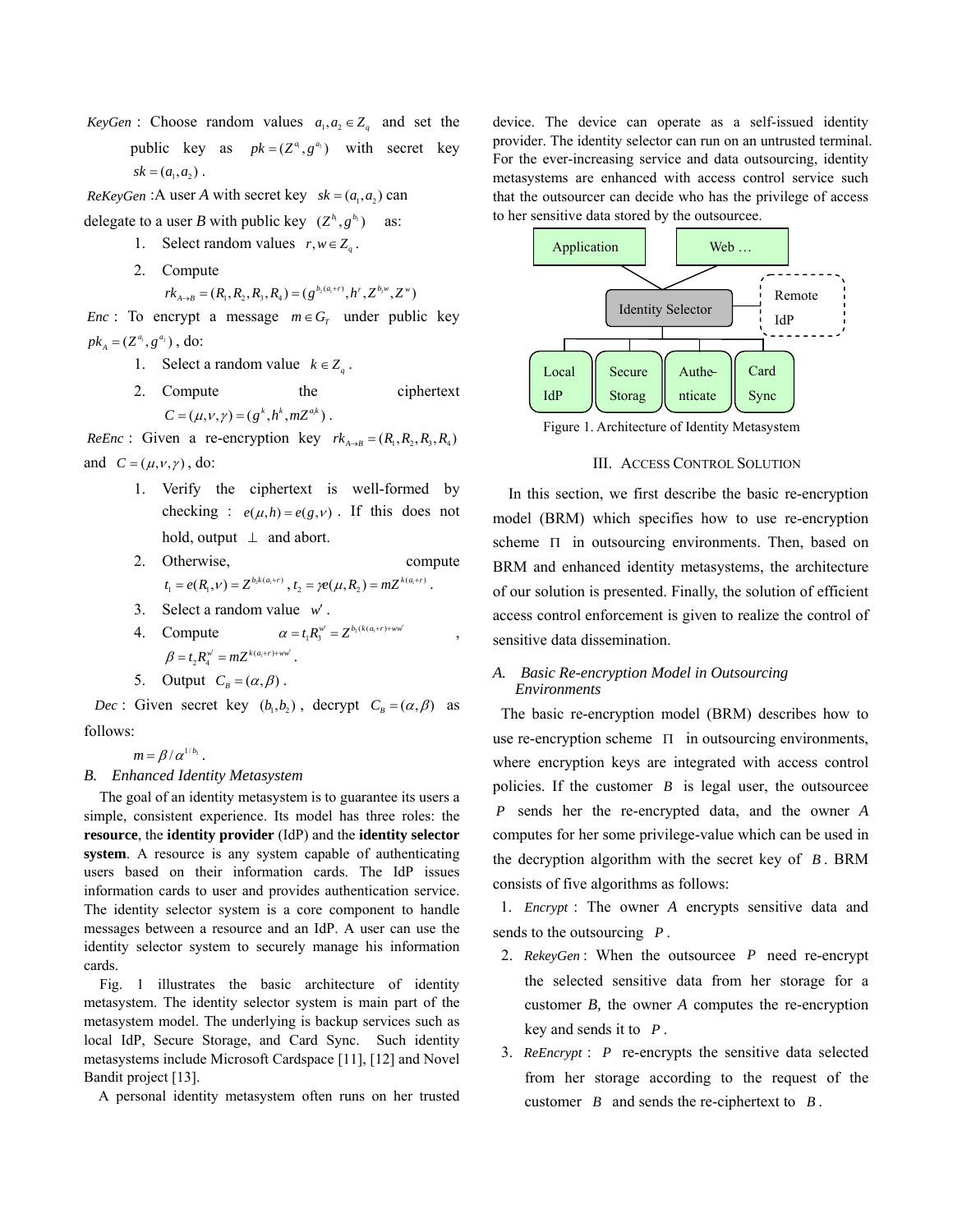*KeyGen* : Choose random values  $a_1, a_2 \in Z_q$  and set the public key as  $pk = (Z^a, g^{a_2})$  with secret key  $sk = (a_1, a_2)$ .

*ReKeyGen* : A user *A* with secret key  $sk = (a_1, a_2)$  can

delegate to a user *B* with public key  $(Z^{b_i}, g^{b_i})$  as:

- 1. Select random values  $r, w \in Z_q$ .
- 2. Compute

 $rk_{A\rightarrow B} = (R_1, R_2, R_3, R_4) = (g^{b_2(a_1+r)}, h^r, Z^{b_2w}, Z^w)$ 

*Enc* : To encrypt a message  $m \in G_T$  under public key  $pk_{A} = (Z^{a_{1}}, g^{a_{2}}),$  do:

- 1. Select a random value  $k \in Z_q$ .
- 2. Compute the ciphertext  $C = (\mu, \nu, \gamma) = (g^k, h^k, mZ^{a_k})$ .

*ReEnc*: Given a re-encryption key  $rk_{A\rightarrow B} = (R_1, R_2, R_3, R_4)$ and  $C = (\mu, \nu, \gamma)$ , do:

- 1. Verify the ciphertext is well-formed by checking :  $e(\mu, h) = e(g, v)$ . If this does not hold, output  $\perp$  and abort.
- 2. Otherwise, compute  $t_1 = e(R_1, v) = Z^{b_2 k(a_1 + r)}, t_2 = \gamma e(\mu, R_2) = mZ^{k(a_1 + r)}.$
- 3. Select a random value *w*′ .
- 4. Compute  $\alpha = t_1 R_3^{w'} = Z^{b_2(k(a_1+r)+ww')}$ ,  $\beta = t_2 R_4^{w'} = mZ^{k(a_1+r)+ww'}$ .
- 5. Output  $C_B = (\alpha, \beta)$ .

*Dec* : Given secret key  $(b_1, b_2)$ , decrypt  $C_B = (\alpha, \beta)$  as follows:

 $m = \beta/\alpha^{1/b_2}$ .

# *B. Enhanced Identity Metasystem*

The goal of an identity metasystem is to guarantee its users a simple, consistent experience. Its model has three roles: the **resource**, the **identity provider** (IdP) and the **identity selector system**. A resource is any system capable of authenticating users based on their information cards. The IdP issues information cards to user and provides authentication service. The identity selector system is a core component to handle messages between a resource and an IdP. A user can use the identity selector system to securely manage his information cards.

Fig. 1 illustrates the basic architecture of identity metasystem. The identity selector system is main part of the metasystem model. The underlying is backup services such as local IdP, Secure Storage, and Card Sync. Such identity metasystems include Microsoft Cardspace [11], [12] and Novel Bandit project [13].

A personal identity metasystem often runs on her trusted

device. The device can operate as a self-issued identity provider. The identity selector can run on an untrusted terminal. For the ever-increasing service and data outsourcing, identity metasystems are enhanced with access control service such that the outsourcer can decide who has the privilege of access to her sensitive data stored by the outsourcee.



Figure 1. Architecture of Identity Metasystem

### III. ACCESS CONTROL SOLUTION

In this section, we first describe the basic re-encryption model (BRM) which specifies how to use re-encryption scheme Π in outsourcing environments. Then, based on BRM and enhanced identity metasystems, the architecture of our solution is presented. Finally, the solution of efficient access control enforcement is given to realize the control of sensitive data dissemination.

# *A. Basic Re-encryption Model in Outsourcing Environments*

The basic re-encryption model (BRM) describes how to use re-encryption scheme  $\Pi$  in outsourcing environments, where encryption keys are integrated with access control policies. If the customer *B* is legal user, the outsourcee *P* sends her the re-encrypted data, and the owner *A*  computes for her some privilege-value which can be used in the decryption algorithm with the secret key of  $B$ . BRM consists of five algorithms as follows:

1. *Encrypt*: The owner *A* encrypts sensitive data and sends to the outsourcing *P* .

- 2. *RekeyGen* : When the outsourcee *P* need re-encrypt the selected sensitive data from her storage for a customer *B,* the owner *A* computes the re-encryption key and sends it to *P* .
- 3. *ReEncrypt* : *P* re-encrypts the sensitive data selected from her storage according to the request of the customer *B* and sends the re-ciphertext to *B* .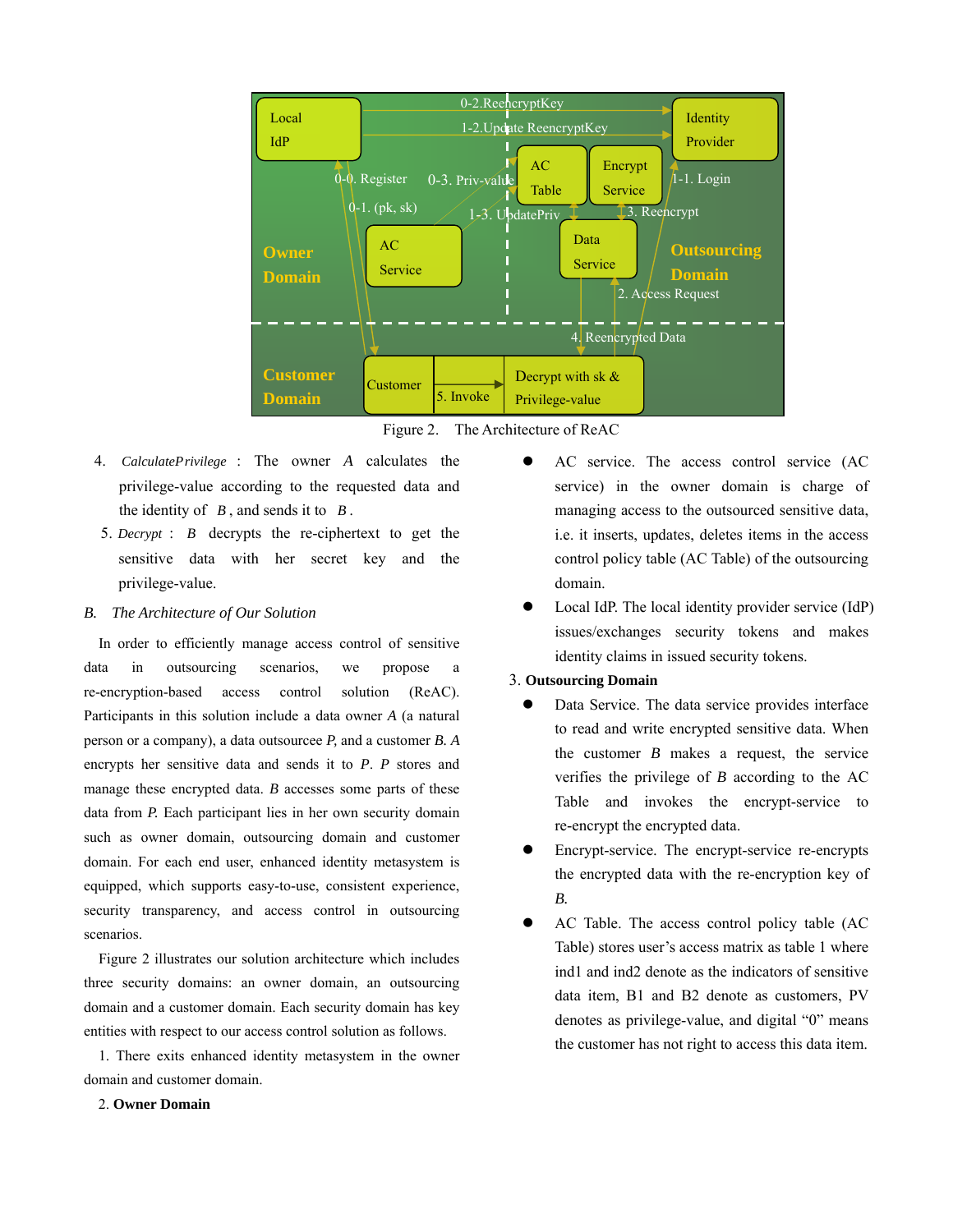

Figure 2. The Architecture of ReAC

- 4. *CalculatePrivilege* : The owner *A* calculates the privilege-value according to the requested data and the identity of  $B$ , and sends it to  $B$ .
- 5. *Decrypt* :  $B$  decrypts the re-ciphertext to get the sensitive data with her secret key and the privilege-value.

### *B. The Architecture of Our Solution*

In order to efficiently manage access control of sensitive data in outsourcing scenarios, we propose a re-encryption-based access control solution (ReAC). Participants in this solution include a data owner *A* (a natural person or a company), a data outsourcee *P,* and a customer *B. A*  encrypts her sensitive data and sends it to *P*. *P* stores and manage these encrypted data. *B* accesses some parts of these data from *P*. Each participant lies in her own security domain such as owner domain, outsourcing domain and customer domain. For each end user, enhanced identity metasystem is equipped, which supports easy-to-use, consistent experience, security transparency, and access control in outsourcing scenarios.

Figure 2 illustrates our solution architecture which includes three security domains: an owner domain, an outsourcing domain and a customer domain. Each security domain has key entities with respect to our access control solution as follows.

1. There exits enhanced identity metasystem in the owner domain and customer domain.

- AC service. The access control service (AC service) in the owner domain is charge of managing access to the outsourced sensitive data, i.e. it inserts, updates, deletes items in the access control policy table (AC Table) of the outsourcing domain.
- Local IdP. The local identity provider service (IdP) issues/exchanges security tokens and makes identity claims in issued security tokens.

# 3. **Outsourcing Domain**

- Data Service. The data service provides interface to read and write encrypted sensitive data. When the customer *B* makes a request, the service verifies the privilege of *B* according to the AC Table and invokes the encrypt-service to re-encrypt the encrypted data.
- Encrypt-service. The encrypt-service re-encrypts the encrypted data with the re-encryption key of *B.*
- AC Table. The access control policy table (AC Table) stores user's access matrix as table 1 where ind1 and ind2 denote as the indicators of sensitive data item, B1 and B2 denote as customers, PV denotes as privilege-value, and digital "0" means the customer has not right to access this data item.

# 2. **Owner Domain**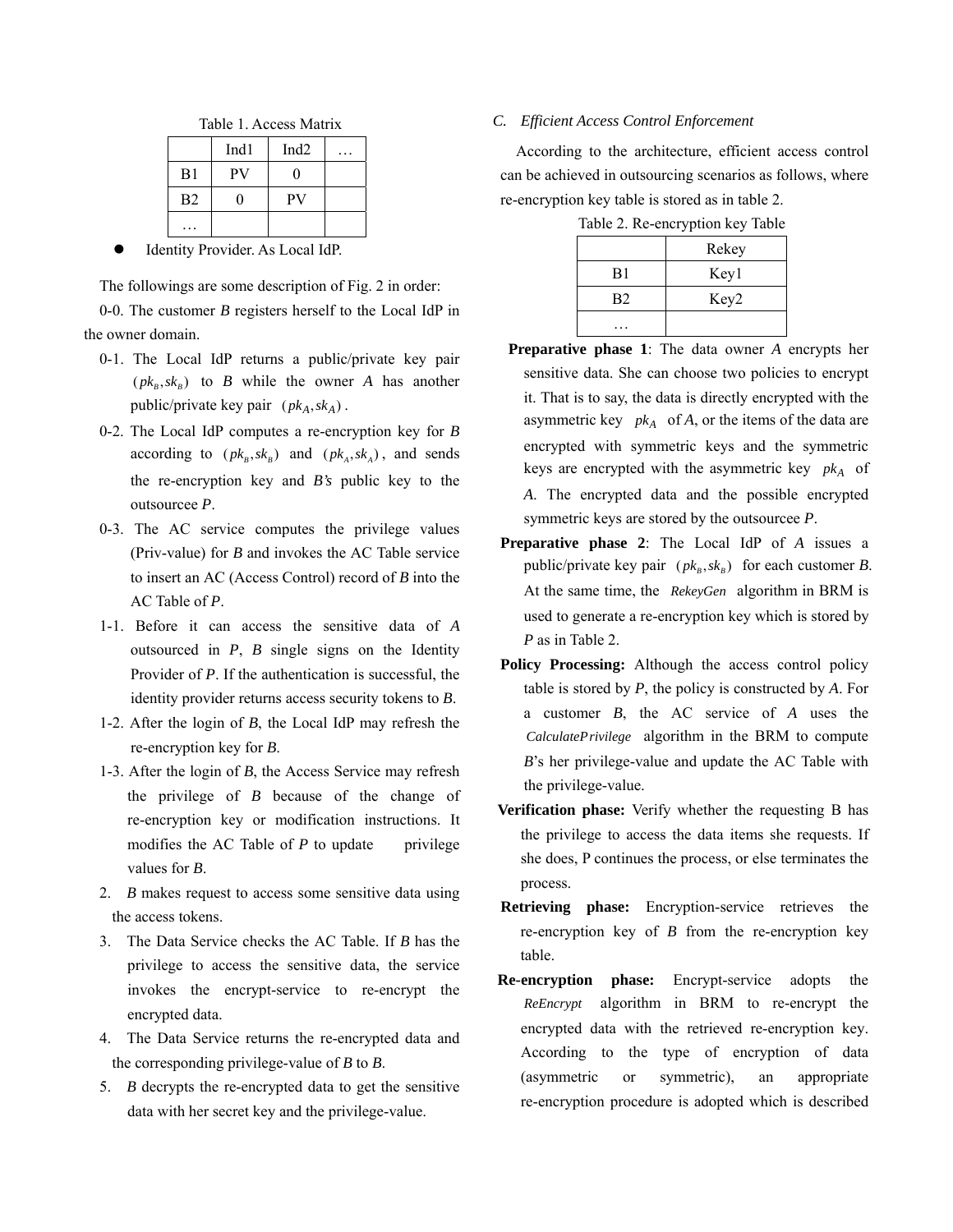|                | Ind <sub>1</sub> | Ind <sub>2</sub> |  |
|----------------|------------------|------------------|--|
| B1             | PV               | וו               |  |
| B <sub>2</sub> |                  | PV               |  |
|                |                  |                  |  |

Identity Provider. As Local IdP.

The followings are some description of Fig. 2 in order: 0-0. The customer *B* registers herself to the Local IdP in the owner domain.

- 0-1. The Local IdP returns a public/private key pair  $(pk_B, sk_B)$  to *B* while the owner *A* has another public/private key pair  $(\mathit{pk}_A, \mathit{sk}_A)$ .
- 0-2. The Local IdP computes a re-encryption key for *B*  according to  $(pk_B, sk_B)$  and  $(pk_A, sk_A)$ , and sends the re-encryption key and *B's* public key to the outsourcee *P*.
- 0-3. The AC service computes the privilege values (Priv-value) for *B* and invokes the AC Table service to insert an AC (Access Control) record of *B* into the AC Table of *P*.
- 1-1. Before it can access the sensitive data of *A*  outsourced in *P*, *B* single signs on the Identity Provider of *P*. If the authentication is successful, the identity provider returns access security tokens to *B*.
- 1-2. After the login of *B*, the Local IdP may refresh the re-encryption key for *B*.
- 1-3. After the login of *B*, the Access Service may refresh the privilege of *B* because of the change of re-encryption key or modification instructions. It modifies the AC Table of  $P$  to update privilege values for *B*.
- 2. *B* makes request to access some sensitive data using the access tokens.
- 3. The Data Service checks the AC Table. If *B* has the privilege to access the sensitive data, the service invokes the encrypt-service to re-encrypt the encrypted data.
- 4. The Data Service returns the re-encrypted data and the corresponding privilege-value of *B* to *B*.
- 5. *B* decrypts the re-encrypted data to get the sensitive data with her secret key and the privilege-value.

# *C. Efficient Access Control Enforcement*

According to the architecture, efficient access control can be achieved in outsourcing scenarios as follows, where re-encryption key table is stored as in table 2.

|                | Rekey |
|----------------|-------|
| B1             | Key1  |
| B <sub>2</sub> | Key2  |
|                |       |

Table 2. Re-encryption key Table

- **Preparative phase 1**: The data owner *A* encrypts her sensitive data. She can choose two policies to encrypt it. That is to say, the data is directly encrypted with the asymmetric key  $pk_A$  of *A*, or the items of the data are encrypted with symmetric keys and the symmetric keys are encrypted with the asymmetric key  $pk_A$  of *A*. The encrypted data and the possible encrypted symmetric keys are stored by the outsourcee *P*.
- **Preparative phase 2**: The Local IdP of *A* issues a public/private key pair  $(pk_B, sk_B)$  for each customer *B*. At the same time, the RekeyGen algorithm in BRM is used to generate a re-encryption key which is stored by *P* as in Table 2.
- **Policy Processing:** Although the access control policy table is stored by *P*, the policy is constructed by *A*. For a customer *B*, the AC service of *A* uses the CalculatePrivilege algorithm in the BRM to compute *B*'s her privilege-value and update the AC Table with the privilege-value.
- **Verification phase:** Verify whether the requesting B has the privilege to access the data items she requests. If she does, P continues the process, or else terminates the process.
- **Retrieving phase:** Encryption-service retrieves the re-encryption key of *B* from the re-encryption key table.
- **Re-encryption phase:** Encrypt-service adopts the algorithm in BRM to re-encrypt the *ReEncrypt*encrypted data with the retrieved re-encryption key. According to the type of encryption of data (asymmetric or symmetric), an appropriate re-encryption procedure is adopted which is described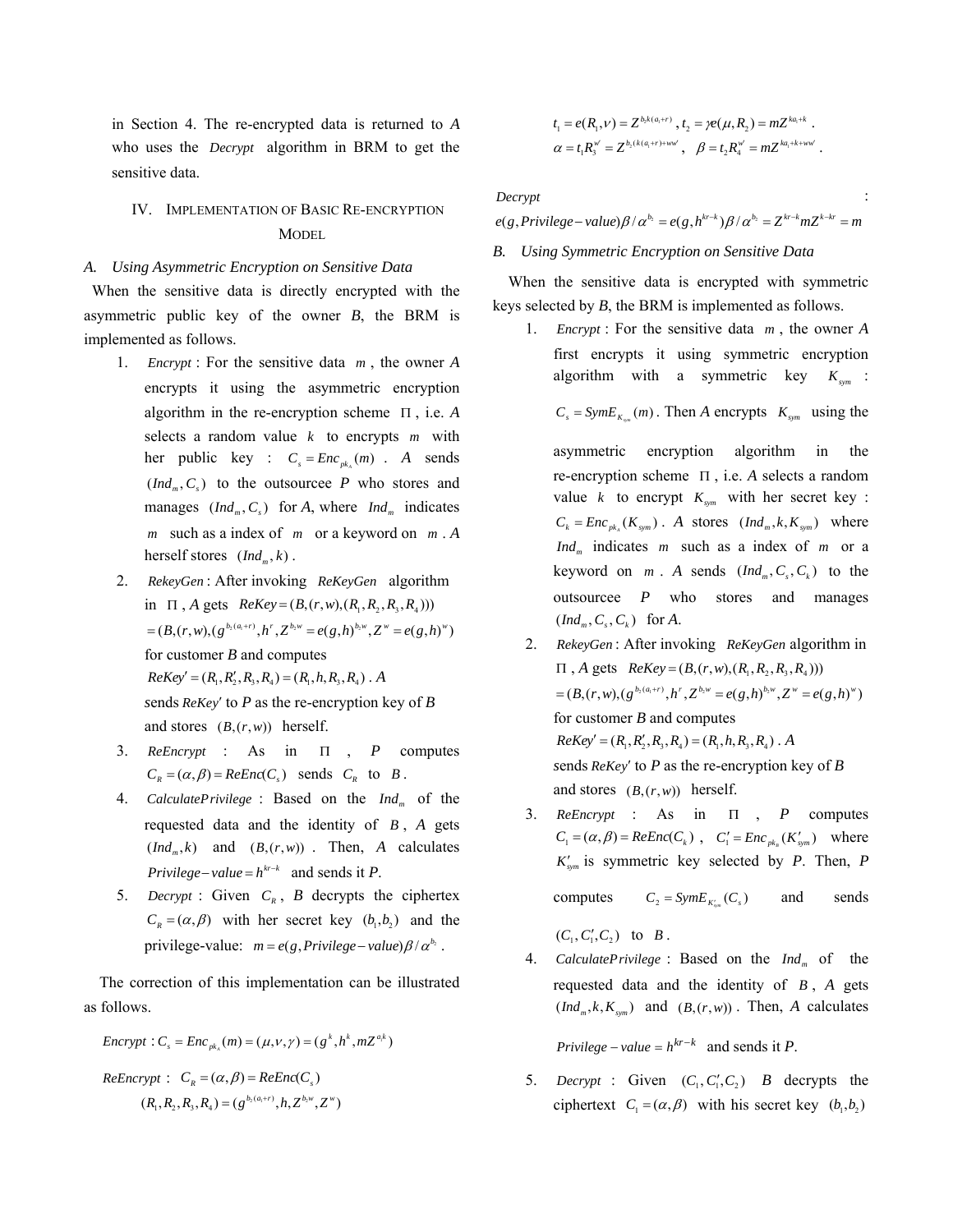in Section 4. The re-encrypted data is returned to *A*  who uses the *Decrypt* algorithm in BRM to get the sensitive data.

# IV. IMPLEMENTATION OF BASIC RE-ENCRYPTION **MODEL**

### *A. Using Asymmetric Encryption on Sensitive Data*

When the sensitive data is directly encrypted with the asymmetric public key of the owner *B*, the BRM is implemented as follows.

- 1. *Encrypt* : For the sensitive data  $m$ , the owner A encrypts it using the asymmetric encryption algorithm in the re-encryption scheme Π , i.e. *A*  selects a random value  $k$  to encrypts  $m$  with her public key :  $C_s = Enc_{pk_A}(m)$ . *A* sends  $(Ind<sub>m</sub>, C<sub>s</sub>)$  to the outsourcee *P* who stores and manages  $(Ind_m, C_s)$  for *A*, where  $Ind_m$  indicates m such as a index of  $m$  or a keyword on  $m \cdot A$ herself stores  $(Ind<sub>m</sub>, k)$ .
- 2. RekeyGen: After invoking ReKeyGen algorithm in  $\Pi$ , *A* gets  $ReKey = (B, (r, w), (R_1, R_2, R_3, R_4))$ for customer *B* and computes  $ReKey' = (R_1, R_2', R_3, R_4) = (R_1, h, R_3, R_4)$ . A  $sends$   $ReKey'$  to  $P$  as the re-encryption key of  $B$ and stores  $(B, (r, w))$  herself.  $=(B,(r,w),(g^{b_2(a_1+r)},h^r,Z^{b_2w}=e(g,h)^{b_2w},Z^w=e(g,h)^w)$
- 3. *ReEncrypt* : As in Π , *P* computes  $C_R = (\alpha, \beta) = ReEnc(C_s)$  sends  $C_R$  to B.
- 4. *CalculatePrivilege* : Based on the  $Ind_m$  of the requested data and the identity of  $B$ ,  $A$  gets  $(Ind<sub>m</sub>, k)$  and  $(B,(r, w))$ . Then, *A* calculates *Privilege* – *value* =  $h^{kr-k}$  and sends it *P*.
- 5. *Decrypt* : Given  $C_R$ , *B* decrypts the ciphertex  $C_R = (\alpha, \beta)$  with her secret key  $(b_1, b_2)$  and the privilege-value:  $m = e(g, Privilege-value) \beta/\alpha^{b_2}$ .

The correction of this implementation can be illustrated as follows.

$$
Encryptionity: C_s = Enc_{pk_A}(m) = (\mu, v, \gamma) = (g^k, h^k, mZ^{a,k})
$$

$$
ReEncrypt: CR = (\alpha, \beta) = ReEnc(Cs)
$$

$$
(R1, R2, R3, R4) = (gb2(a1+r), h, Zb2, w, Zw)
$$

$$
t_1 = e(R_1, v) = Z^{b_2 k(a_1 + v)}, t_2 = \gamma e(\mu, R_2) = m Z^{ka_1 + k}.
$$
  
\n
$$
\alpha = t_1 R_3^{w'} = Z^{b_2 (k(a_1 + r) + w w'}, \quad \beta = t_2 R_4^{w'} = m Z^{ka_1 + k + w w'}.
$$

*Decrypt* :

 $e(g, P{\text{rivile}}ge - {\text{value}})$  $\beta / \alpha^{b_2} = e(g, h^{k r - k}) \beta / \alpha^{b_2} = Z^{k r - k} m Z^{k - k r} = m$ 

# *B. Using Symmetric Encryption on Sensitive Data*

When the sensitive data is encrypted with symmetric keys selected by *B*, the BRM is implemented as follows.

1. *Encrypt* : For the sensitive data  $m$ , the owner A first encrypts it using symmetric encryption algorithm with a symmetric key  $K_{sym}$ :

 $C_s = SymE_{K_{sym}}(m)$ . Then *A* encrypts  $K_{sym}$  using the

asymmetric encryption algorithm in the re-encryption scheme Π, i.e. *A* selects a random value *k* to encrypt  $K_{sym}$  with her secret key :  $C_k = Enc_{pk_A}(K_{sym})$ . *A* stores  $(Ind_m, k, K_{sym})$  where *Ind<sub>m</sub>* indicates *m* such as a index of *m* or a keyword on  $m$ . A sends  $(Ind_m, C_s, C_k)$  to the outsourcee *P* who stores and manages  $(Ind_m, C_s, C_k)$  for A.

- 2. *RekeyGen* : After invoking *ReKeyGen* algorithm in  $\Pi$ , *A* gets  $ReKey = (B,(r,w),(R_1,R_2,R_3,R_4)))$ for customer *B* and computes  $=(B,(r,w),(g^{b_2(a_1+r)},h^r,Z^{b_2w}=e(g,h)^{b_2w},Z^w=e(g,h)^w)$  $ReKey' = (R_1, R_2', R_3, R_4) = (R_1, h, R_3, R_4)$ . *A sends ReKey'* to *P* as the re-encryption key of *B* and stores  $(B, (r, w))$  herself.
- 3. *ReEncrypt* : As in Π , *P* computes  $C_1 = (\alpha, \beta) = ReEnc(C_k)$ ,  $C_1' = Enc_{pk_k}(K'_{sym})$  where  $K'_{sym}$  is symmetric key selected by *P*. Then, *P* computes  $C_2 = SymE_{K'_{sym}}(C_s)$  and sends
	- $(C_1, C'_1, C_2)$  to *B*.
- 4. *CalculatePrivilege* : Based on the *Ind<sub>m</sub>* of the requested data and the identity of  $B$ ,  $A$  gets  $(Ind<sub>m</sub>, k, K<sub>sym</sub>)$  and  $(B, (r, w))$ . Then, A calculates

 $Privatege-value = h^{kr-k}$  and sends it *P*.

5. *Decrypt* : Given  $(C_1, C'_1, C_2)$  *B* decrypts the ciphertext  $C_1 = (\alpha, \beta)$  with his secret key  $(b_1, b_2)$